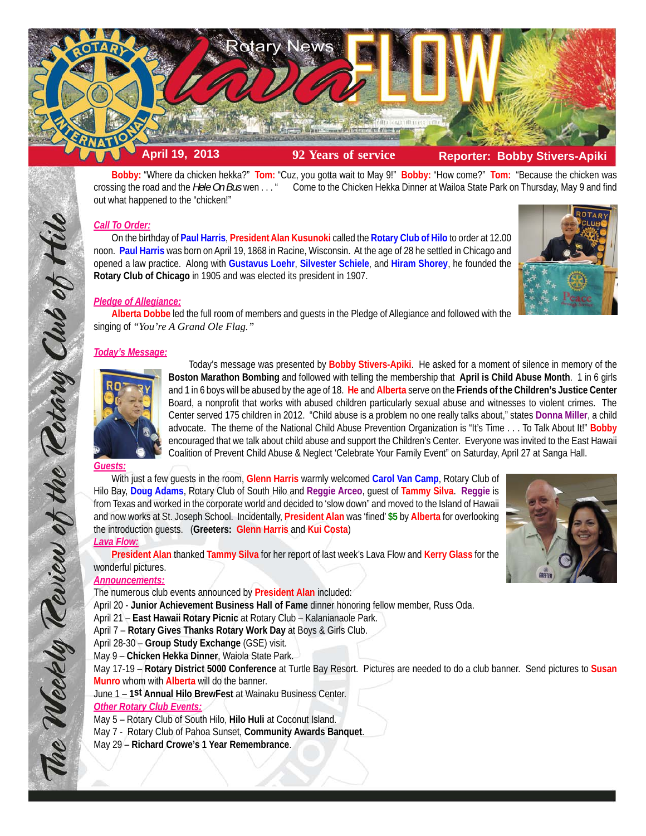

**Bobby:** "Where da chicken hekka?" **Tom:** "Cuz, you gotta wait to May 9!" **Bobby:** "How come?" **Tom:** "Because the chicken was crossing the road and the *Hele On Bus* wen . . . " Come to the Chicken Hekka Dinner at Wailoa State Park on Thursday, May 9 and find out what happened to the "chicken!"

# *Call To Order:*

On the birthday of **Paul Harris**, **President Alan Kusunoki** called the **Rotary Club of Hilo** to order at 12.00 noon. **Paul Harris** was born on April 19, 1868 in Racine, Wisconsin. At the age of 28 he settled in Chicago and opened a law practice. Along with **Gustavus Loehr**, **Silvester Schiele**, and **Hiram Shorey**, he founded the **Rotary Club of Chicago** in 1905 and was elected its president in 1907.



## *Pledge of Allegiance:*

**Alberta Dobbe** led the full room of members and guests in the Pledge of Allegiance and followed with the singing of *"You're A Grand Ole Flag."*

# *Today's Message:*



Today's message was presented by **Bobby Stivers-Apiki**. He asked for a moment of silence in memory of the **Boston Marathon Bombing** and followed with telling the membership that **April is Child Abuse Month**. 1 in 6 girls and 1 in 6 boys will be abused by the age of 18. **He** and **Alberta** serve on the **Friends of the Children's Justice Center** Board, a nonprofit that works with abused children particularly sexual abuse and witnesses to violent crimes. The Center served 175 children in 2012. "Child abuse is a problem no one really talks about," states **Donna Miller**, a child advocate. The theme of the National Child Abuse Prevention Organization is "It's Time . . . To Talk About It!" **Bobby** encouraged that we talk about child abuse and support the Children's Center. Everyone was invited to the East Hawaii Coalition of Prevent Child Abuse & Neglect 'Celebrate Your Family Event" on Saturday, April 27 at Sanga Hall.

### *Guests:*

The Weekly Teview of the Tetary Club of Hilo

With just a few guests in the room, **Glenn Harris** warmly welcomed **Carol Van Camp**, Rotary Club of Hilo Bay, **Doug Adams**, Rotary Club of South Hilo and **Reggie Arceo**, guest of **Tammy Silva**. **Reggie** is from Texas and worked in the corporate world and decided to 'slow down" and moved to the Island of Hawaii and now works at St. Joseph School. Incidentally, **President Alan** was 'fined' **\$5** by **Alberta** for overlooking the introduction guests. (**Greeters: Glenn Harris** and **Kui Costa**) *Lava Flow:*

**President Alan** thanked **Tammy Silva** for her report of last week's Lava Flow and **Kerry Glass** for the wonderful pictures.

## *Announcements:*

The numerous club events announced by **President Alan** included:

April 20 - **Junior Achievement Business Hall of Fame** dinner honoring fellow member, Russ Oda.

- April 21 **East Hawaii Rotary Picnic** at Rotary Club Kalanianaole Park.
- April 7 **Rotary Gives Thanks Rotary Work Day** at Boys & Girls Club.
- April 28-30 **Group Study Exchange** (GSE) visit.
- May 9 **Chicken Hekka Dinner**, Waiola State Park.

May 17-19 – **Rotary District 5000 Conference** at Turtle Bay Resort. Pictures are needed to do a club banner. Send pictures to **Susan Munro** whom with **Alberta** will do the banner.

June 1 – **1st Annual Hilo BrewFest** at Wainaku Business Center.

# *Other Rotary Club Events:*

- May 5 Rotary Club of South Hilo, **Hilo Huli** at Coconut Island.
- May 7 Rotary Club of Pahoa Sunset, **Community Awards Banquet**.
- May 29 **Richard Crowe's 1 Year Remembrance**.

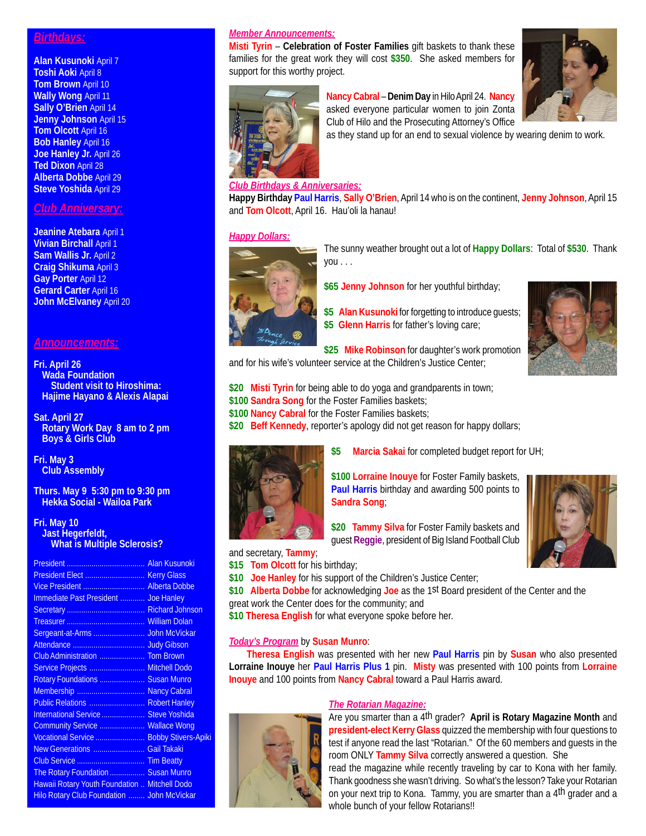## *Birthdays:*

**Alan Kusunoki** April 7 **Toshi Aoki** April 8 **Tom Brown** April 10 **Wally Wong** April 11 **Sally O'Brien** April 14 **Jenny Johnson** April 15 **Tom Olcott** April 16 **Bob Hanley** April 16 **Joe Hanley Jr.** April 26 **Ted Dixon** April 28 **Alberta Dobbe** April 29 **Steve Yoshida** April 29

# *Club Anniversary:*

**Jeanine Atebara** April 1 **Vivian Birchall** April 1 **Sam Wallis Jr.** April 2 **Craig Shikuma** April 3 **Gay Porter** April 12 **Gerard Carter** April 16 **John McElvaney** April 20

# *Announcements:*

#### **Fri. April 26 Wada Foundation Student visit to Hiroshima: Hajime Hayano & Alexis Alapai**

**Sat. April 27 Rotary Work Day 8 am to 2 pm Boys & Girls Club**

**Fri. May 3 Club Assembly**

**Thurs. May 9 5:30 pm to 9:30 pm Hekka Social - Wailoa Park**

#### **Fri. May 10 Jast Hegerfeldt, What is Multiple Sclerosis?**

| Vice President  Alberta Dobbe                 |  |
|-----------------------------------------------|--|
| Immediate Past President  Joe Hanley          |  |
|                                               |  |
|                                               |  |
|                                               |  |
|                                               |  |
|                                               |  |
| Service Projects  Mitchell Dodo               |  |
| Rotary Foundations  Susan Munro               |  |
| Membership  Nancy Cabral                      |  |
| Public Relations  Robert Hanley               |  |
| International Service  Steve Yoshida          |  |
| Community Service  Wallace Wong               |  |
| Vocational Service  Bobby Stivers-Apiki       |  |
| New Generations  Gail Takaki                  |  |
|                                               |  |
| The Rotary Foundation  Susan Munro            |  |
| Hawaii Rotary Youth Foundation  Mitchell Dodo |  |
| Hilo Rotary Club Foundation  John McVickar    |  |
|                                               |  |

# *Member Announcements:*

**Misti Tyrin** – **Celebration of Foster Families** gift baskets to thank these families for the great work they will cost **\$350**. She asked members for support for this worthy project.



# **Nancy Cabral** – **Denim Day** in Hilo April 24. **Nancy** asked everyone particular women to join Zonta



as they stand up for an end to sexual violence by wearing denim to work.

### *Club Birthdays & Anniversaries:*

**Happy Birthday Paul Harris**, **Sally O'Brien**, April 14 who is on the continent, **Jenny Johnson**, April 15 and **Tom Olcott**, April 16. Hau'oli la hanau!

### *Happy Dollars:*



- The sunny weather brought out a lot of **Happy Dollars**: Total of **\$530**. Thank you . . .
- **\$65 Jenny Johnson** for her youthful birthday;
- \$5 Alan Kusunoki for forgetting to introduce guests; **\$5 Glenn Harris** for father's loving care;



**\$25 Mike Robinson** for daughter's work promotion and for his wife's volunteer service at the Children's Justice Center;

**\$20 Misti Tyrin** for being able to do yoga and grandparents in town;

**\$100 Sandra Song** for the Foster Families baskets;

**\$100 Nancy Cabral** for the Foster Families baskets;

**\$20 Beff Kennedy**, reporter's apology did not get reason for happy dollars;



**\$5 Marcia Sakai** for completed budget report for UH;

**\$100 Lorraine Inouye** for Foster Family baskets, **Paul Harris** birthday and awarding 500 points to **Sandra Song**;

**\$20 Tammy Silva** for Foster Family baskets and guest **Reggie**, president of Big Island Football Club



and secretary, **Tammy**;

- **\$15 Tom Olcott** for his birthday;
- **\$10 Joe Hanley** for his support of the Children's Justice Center;

**\$10 Alberta Dobbe** for acknowledging **Joe** as the 1st Board president of the Center and the great work the Center does for the community; and

**\$10 Theresa English** for what everyone spoke before her.

## *Today's Program* by **Susan Munro**:

**Theresa English** was presented with her new **Paul Harris** pin by **Susan** who also presented **Lorraine Inouye** her **Paul Harris Plus 1** pin. **Misty** was presented with 100 points from **Lorraine Inouye** and 100 points from **Nancy Cabral** toward a Paul Harris award.



### *The Rotarian Magazine:*

Are you smarter than a 4th grader? **April is Rotary Magazine Month** and **president-elect Kerry Glass** quizzed the membership with four questions to test if anyone read the last "Rotarian." Of the 60 members and guests in the room ONLY **Tammy Silva** correctly answered a question. She read the magazine while recently traveling by car to Kona with her family. Thank goodness she wasn't driving. So what's the lesson? Take your Rotarian on your next trip to Kona. Tammy, you are smarter than a 4th grader and a whole bunch of your fellow Rotarians!!